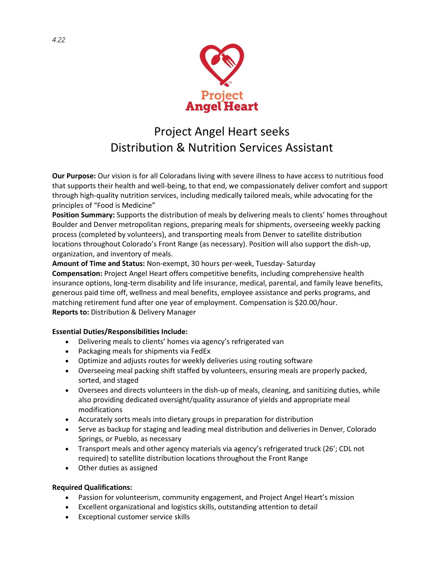

# Project Angel Heart seeks Distribution & Nutrition Services Assistant

**Our Purpose:** Our vision is for all Coloradans living with severe illness to have access to nutritious food that supports their health and well-being, to that end, we compassionately deliver comfort and support through high-quality nutrition services, including medically tailored meals, while advocating for the principles of "Food is Medicine"

**Position Summary:** Supports the distribution of meals by delivering meals to clients' homes throughout Boulder and Denver metropolitan regions, preparing meals for shipments, overseeing weekly packing process (completed by volunteers), and transporting meals from Denver to satellite distribution locations throughout Colorado's Front Range (as necessary). Position will also support the dish-up, organization, and inventory of meals.

**Amount of Time and Status:** Non-exempt, 30 hours per-week, Tuesday- Saturday **Compensation:** Project Angel Heart offers competitive benefits, including comprehensive health insurance options, long-term disability and life insurance, medical, parental, and family leave benefits, generous paid time off, wellness and meal benefits, employee assistance and perks programs, and matching retirement fund after one year of employment. Compensation is \$20.00/hour. **Reports to:** Distribution & Delivery Manager

## **Essential Duties/Responsibilities Include:**

- Delivering meals to clients' homes via agency's refrigerated van
- Packaging meals for shipments via FedEx
- Optimize and adjusts routes for weekly deliveries using routing software
- Overseeing meal packing shift staffed by volunteers, ensuring meals are properly packed, sorted, and staged
- Oversees and directs volunteers in the dish-up of meals, cleaning, and sanitizing duties, while also providing dedicated oversight/quality assurance of yields and appropriate meal modifications
- Accurately sorts meals into dietary groups in preparation for distribution
- Serve as backup for staging and leading meal distribution and deliveries in Denver, Colorado Springs, or Pueblo, as necessary
- Transport meals and other agency materials via agency's refrigerated truck (26'; CDL not required) to satellite distribution locations throughout the Front Range
- Other duties as assigned

## **Required Qualifications:**

- Passion for volunteerism, community engagement, and Project Angel Heart's mission
- Excellent organizational and logistics skills, outstanding attention to detail
- Exceptional customer service skills